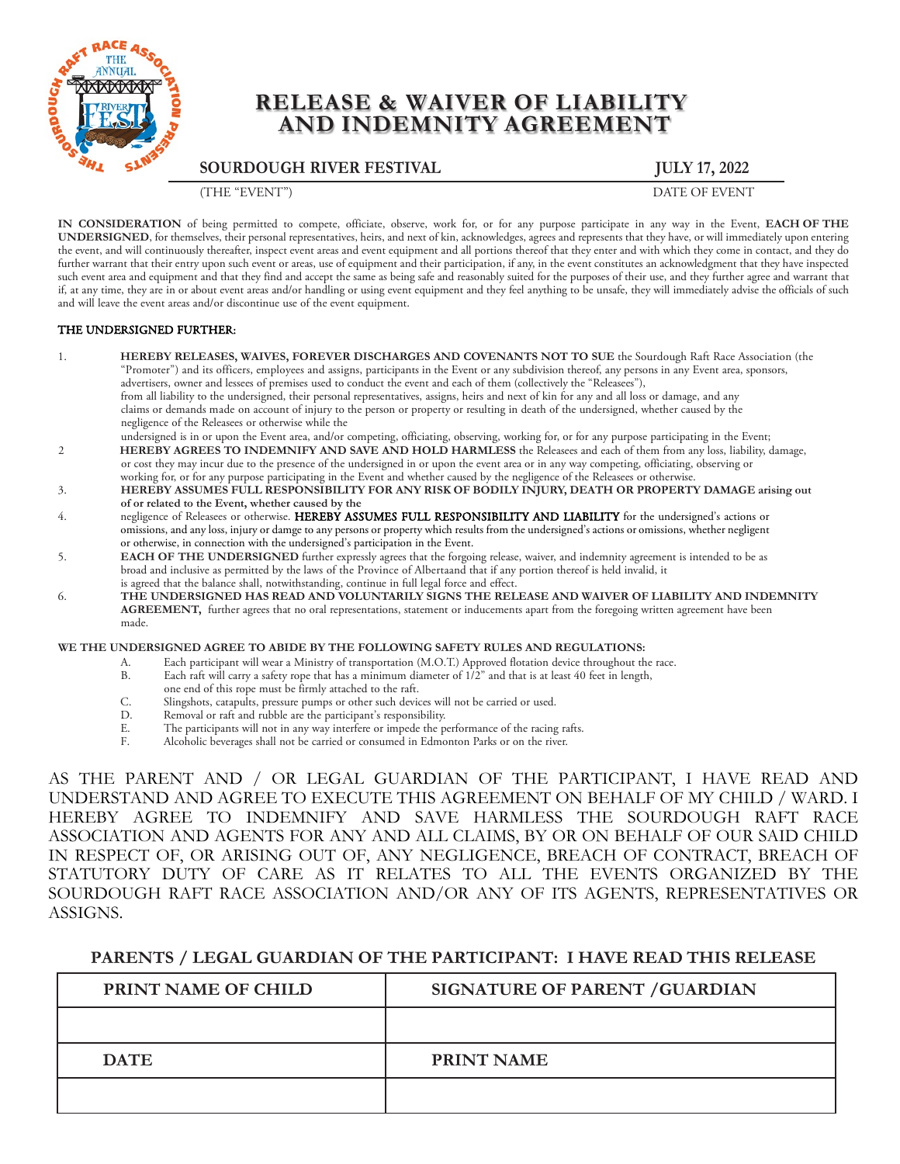

# **RELEASE & WAIVER OF LIABILITY AND INDEMNITY AGREEMENT**

**SOURDOUGH RIVER FESTIVAL JULY 17, 2022**

(THE "EVENT") DATE OF EVENT

**IN CONSIDERATION** of being permitted to compete, officiate, observe, work for, or for any purpose participate in any way in the Event, **EACH OF THE UNDERSIGNED**, for themselves, their personal representatives, heirs, and next of kin, acknowledges, agrees and represents that they have, or will immediately upon entering the event, and will continuously thereafter, inspect event areas and event equipment and all portions thereof that they enter and with which they come in contact, and they do further warrant that their entry upon such event or areas, use of equipment and their participation, if any, in the event constitutes an acknowledgment that they have inspected such event area and equipment and that they find and accept the same as being safe and reasonably suited for the purposes of their use, and they further agree and warrant that if, at any time, they are in or about event areas and/or handling or using event equipment and they feel anything to be unsafe, they will immediately advise the officials of such and will leave the event areas and/or discontinue use of the event equipment.

#### THE UNDERSIGNED FURTHER:

- 1. **HEREBY RELEASES, WAIVES, FOREVER DISCHARGES AND COVENANTS NOT TO SUE** the Sourdough Raft Race Association (the "Promoter") and its officers, employees and assigns, participants in the Event or any subdivision thereof, any persons in any Event area, sponsors, advertisers, owner and lessees of premises used to conduct the event and each of them (collectively the "Releasees"), from all liability to the undersigned, their personal representatives, assigns, heirs and next of kin for any and all loss or damage, and any claims or demands made on account of injury to the person or property or resulting in death of the undersigned, whether caused by the negligence of the Releasees or otherwise while the
- undersigned is in or upon the Event area, and/or competing, officiating, observing, working for, or for any purpose participating in the Event; 2 **HEREBY AGREES TO INDEMNIFY AND SAVE AND HOLD HARMLESS** the Releasees and each of them from any loss, liability, damage, or cost they may incur due to the presence of the undersigned in or upon the event area or in any way competing, officiating, observing or working for, or for any purpose participating in the Event and whether caused by the negligence of the Releasees or otherwise.
- 3. **HEREBY ASSUMES FULL RESPONSIBILITY FOR ANY RISK OF BODILY INJURY, DEATH OR PROPERTY DAMAGE arising out of or related to the Event, whether caused by the**
- 4. negligence of Releasees or otherwise. HEREBY ASSUMES FULL RESPONSIBILITY AND LIABILITY for the undersigned's actions or omissions, and any loss, injury or damge to any persons or property which results from the undersigned's actions or omissions, whether negligent or otherwise, in connection with the undersigned's participation in the Event.
- 5. **EACH OF THE UNDERSIGNED** further expressly agrees that the forgoing release, waiver, and indemnity agreement is intended to be as broad and inclusive as permitted by the laws of the Province of Albertaand that if any portion thereof is held invalid, it is agreed that the balance shall, notwithstanding, continue in full legal force and effect.
- 6. **THE UNDERSIGNED HAS READ AND VOLUNTARILY SIGNS THE RELEASE AND WAIVER OF LIABILITY AND INDEMNITY AGREEMENT,** further agrees that no oral representations, statement or inducements apart from the foregoing written agreement have been made.

#### **WE THE UNDERSIGNED AGREE TO ABIDE BY THE FOLLOWING SAFETY RULES AND REGULATIONS:**

- A. Each participant will wear a Ministry of transportation (M.O.T.) Approved flotation device throughout the race.<br>B. Each raft will carry a safety rope that has a minimum diameter of 1/2" and that is at least 40 feet in l
- Each raft will carry a safety rope that has a minimum diameter of  $1/2$ " and that is at least 40 feet in length,
- one end of this rope must be firmly attached to the raft.
- C. Slingshots, catapults, pressure pumps or other such devices will not be carried or used.
- D. Removal or raft and rubble are the participant's responsibility.<br>F. The participants will not in any way interfere or impede the p
- E. The participants will not in any way interfere or impede the performance of the racing rafts.<br>F. Alcoholic beverages shall not be carried or consumed in Edmonton Parks or on the river Alcoholic beverages shall not be carried or consumed in Edmonton Parks or on the river.

AS THE PARENT AND / OR LEGAL GUARDIAN OF THE PARTICIPANT, I HAVE READ AND UNDERSTAND AND AGREE TO EXECUTE THIS AGREEMENT ON BEHALF OF MY CHILD / WARD. I HEREBY AGREE TO INDEMNIFY AND SAVE HARMLESS THE SOURDOUGH RAFT RACE ASSOCIATION AND AGENTS FOR ANY AND ALL CLAIMS, BY OR ON BEHALF OF OUR SAID CHILD IN RESPECT OF, OR ARISING OUT OF, ANY NEGLIGENCE, BREACH OF CONTRACT, BREACH OF STATUTORY DUTY OF CARE AS IT RELATES TO ALL THE EVENTS ORGANIZED BY THE SOURDOUGH RAFT RACE ASSOCIATION AND/OR ANY OF ITS AGENTS, REPRESENTATIVES OR ASSIGNS.

#### **PARENTS / LEGAL GUARDIAN OF THE PARTICIPANT: I HAVE READ THIS RELEASE**

| PRINT NAME OF CHILD | SIGNATURE OF PARENT / GUARDIAN |
|---------------------|--------------------------------|
|                     |                                |
| <b>DATE</b>         | <b>PRINT NAME</b>              |
|                     |                                |